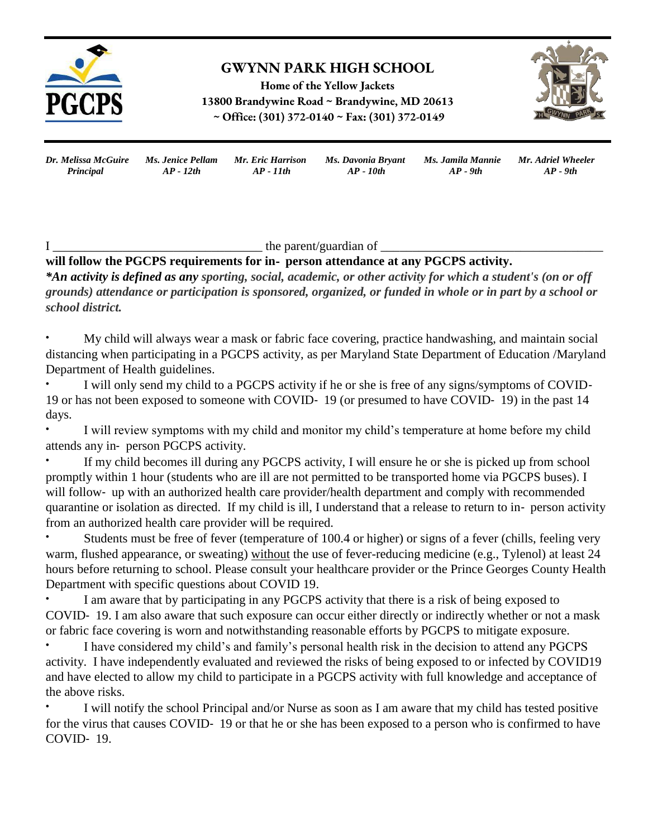

# **GWYNN PARK HIGH SCHOOL**

**Home of the Yellow Jackets 13800 Brandywine Road ~ Brandywine, MD 20613 ~ Office: (301) 372-0140 ~ Fax: (301) 372-0149**



| Dr. Melissa McGuire | Ms. Jenice Pellam Mr. Eric Harrison |             | Ms. Davonia Bryant | Ms. Jamila Mannie Mr. Adriel Wheeler |            |
|---------------------|-------------------------------------|-------------|--------------------|--------------------------------------|------------|
| Principal           | $AP - 12th$                         | $AP - 11th$ | AP - 10th          | $AP - 9th$                           | $AP - 9th$ |

 $I_{\_}$  the parent/guardian of  $\_$ 

### **will follow the PGCPS requirements for in**‐ **person attendance at any PGCPS activity.**

*\*An activity is defined as any sporting, social, academic, or other activity for which a student's (on or off grounds) attendance or participation is sponsored, organized, or funded in whole or in part by a school or school district.*

• My child will always wear a mask or fabric face covering, practice handwashing, and maintain social distancing when participating in a PGCPS activity, as per Maryland State Department of Education /Maryland Department of Health guidelines.

I will only send my child to a PGCPS activity if he or she is free of any signs/symptoms of COVID-19 or has not been exposed to someone with COVID‐ 19 (or presumed to have COVID‐ 19) in the past 14 days.

I will review symptoms with my child and monitor my child's temperature at home before my child attends any in‐ person PGCPS activity.

If my child becomes ill during any PGCPS activity, I will ensure he or she is picked up from school promptly within 1 hour (students who are ill are not permitted to be transported home via PGCPS buses). I will follow- up with an authorized health care provider/health department and comply with recommended quarantine or isolation as directed. If my child is ill, I understand that a release to return to in‐ person activity from an authorized health care provider will be required.

Students must be free of fever (temperature of 100.4 or higher) or signs of a fever (chills, feeling very warm, flushed appearance, or sweating) without the use of fever-reducing medicine (e.g., Tylenol) at least 24 hours before returning to school. Please consult your healthcare provider or the Prince Georges County Health Department with specific questions about COVID 19.

I am aware that by participating in any PGCPS activity that there is a risk of being exposed to COVID‐ 19. I am also aware that such exposure can occur either directly or indirectly whether or not a mask or fabric face covering is worn and notwithstanding reasonable efforts by PGCPS to mitigate exposure.

I have considered my child's and family's personal health risk in the decision to attend any PGCPS activity. I have independently evaluated and reviewed the risks of being exposed to or infected by COVID19 and have elected to allow my child to participate in a PGCPS activity with full knowledge and acceptance of the above risks.

I will notify the school Principal and/or Nurse as soon as I am aware that my child has tested positive for the virus that causes COVID-19 or that he or she has been exposed to a person who is confirmed to have COVID‐ 19.